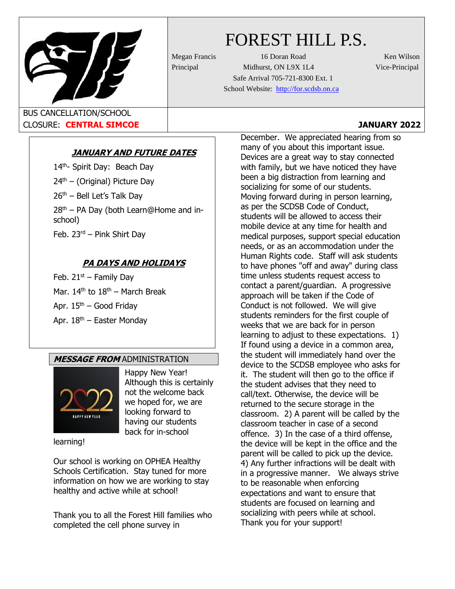

# FOREST HILL P.S.

Megan Francis 16 Doran Road Ken Wilson Principal Midhurst, ON L9X 1L4 Vice-Principal Safe Arrival 705-721-8300 Ext. 1 School Website: [http://for.scdsb.on.ca](http://for.scdsb.on.ca/)

BUS CANCELLATION/SCHOOL CLOSURE: **CENTRAL SIMCOE JANUARY 2022**

# **JANUARY AND FUTURE DATES**

14<sup>th</sup>- Spirit Day: Beach Day  $24<sup>th</sup>$  – (Original) Picture Day  $26<sup>th</sup>$  – Bell Let's Talk Day  $28<sup>th</sup>$  – PA Day (both Learn@Home and inschool) Feb. 23rd – Pink Shirt Day

# **PA DAYS AND HOLIDAYS**

Feb.  $21^{st}$  – Family Day Mar. 14<sup>th</sup> to 18<sup>th</sup> – March Break Apr. 15<sup>th</sup> – Good Friday Apr.  $18<sup>th</sup>$  – Easter Monday

# **MESSAGE FROM** ADMINISTRATION



Happy New Year! Although this is certainly not the welcome back we hoped for, we are looking forward to having our students back for in-school

learning!

Our school is working on OPHEA Healthy Schools Certification. Stay tuned for more information on how we are working to stay healthy and active while at school!

Thank you to all the Forest Hill families who completed the cell phone survey in

December. We appreciated hearing from so many of you about this important issue. Devices are a great way to stay connected with family, but we have noticed they have been a big distraction from learning and socializing for some of our students. Moving forward during in person learning, as per the SCDSB Code of Conduct, students will be allowed to access their mobile device at any time for health and medical purposes, support special education needs, or as an accommodation under the Human Rights code. Staff will ask students to have phones "off and away" during class time unless students request access to contact a parent/guardian. A progressive approach will be taken if the Code of Conduct is not followed. We will give students reminders for the first couple of weeks that we are back for in person learning to adjust to these expectations. 1) If found using a device in a common area, the student will immediately hand over the device to the SCDSB employee who asks for it. The student will then go to the office if the student advises that they need to call/text. Otherwise, the device will be returned to the secure storage in the classroom. 2) A parent will be called by the classroom teacher in case of a second offence. 3) In the case of a third offense, the device will be kept in the office and the parent will be called to pick up the device. 4) Any further infractions will be dealt with in a progressive manner. We always strive to be reasonable when enforcing expectations and want to ensure that students are focused on learning and socializing with peers while at school. Thank you for your support!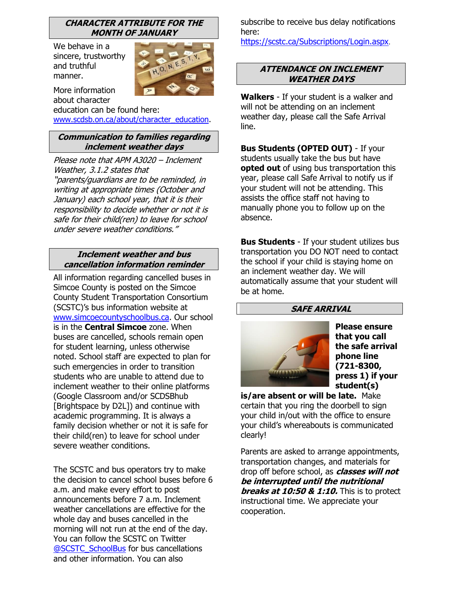## **CHARACTER ATTRIBUTE FOR THE MONTH OF JANUARY**

We behave in a sincere, trustworthy and truthful manner.



More information about character education can be found here:

[www.scdsb.on.ca/about/character\\_education.](http://www.scdsb.on.ca/about/character_education)

# **Communication to families regarding inclement weather days**

Please note that APM A3020 – Inclement Weather, 3.1.2 states that "parents/guardians are to be reminded, in writing at appropriate times (October and January) each school year, that it is their responsibility to decide whether or not it is safe for their child(ren) to leave for school under severe weather conditions."

## **Inclement weather and bus cancellation information reminder**

All information regarding cancelled buses in Simcoe County is posted on the Simcoe County Student Transportation Consortium (SCSTC)'s bus information website at [www.simcoecountyschoolbus.ca.](file://///adminvs01/diroff/Communications/Communications%20Department/School%20Newsletter%20Items/2020-2021/October/www.simcoecountyschoolbus.ca) Our school is in the **Central Simcoe** zone. When buses are cancelled, schools remain open for student learning, unless otherwise noted. School staff are expected to plan for such emergencies in order to transition students who are unable to attend due to inclement weather to their online platforms (Google Classroom and/or SCDSBhub [Brightspace by D2L]) and continue with academic programming. It is always a family decision whether or not it is safe for their child(ren) to leave for school under severe weather conditions.

The SCSTC and bus operators try to make the decision to cancel school buses before 6 a.m. and make every effort to post announcements before 7 a.m. Inclement weather cancellations are effective for the whole day and buses cancelled in the morning will not run at the end of the day. You can follow the SCSTC on Twitter [@SCSTC\\_SchoolBus](https://twitter.com/SCSTC_SchoolBus?ref_src=twsrc%5Egoogle%7Ctwcamp%5Eserp%7Ctwgr%5Eauthor) for bus cancellations and other information. You can also

subscribe to receive bus delay notifications here:

<https://scstc.ca/Subscriptions/Login.aspx>.

## **ATTENDANCE ON INCLEMENT WEATHER DAYS**

**Walkers** - If your student is a walker and will not be attending on an inclement weather day, please call the Safe Arrival line.

**Bus Students (OPTED OUT)** - If your students usually take the bus but have **opted out** of using bus transportation this year, please call Safe Arrival to notify us if your student will not be attending. This assists the office staff not having to manually phone you to follow up on the absence.

**Bus Students** - If your student utilizes bus transportation you DO NOT need to contact the school if your child is staying home on an inclement weather day. We will automatically assume that your student will be at home.

# **SAFE ARRIVAL**



**Please ensure that you call the safe arrival phone line (721-8300, press 1) if your student(s)** 

**is/are absent or will be late.** Make certain that you ring the doorbell to sign your child in/out with the office to ensure your child's whereabouts is communicated clearly!

Parents are asked to arrange appointments, transportation changes, and materials for drop off before school, as **classes will not be interrupted until the nutritional breaks at 10:50 & 1:10.** This is to protect instructional time. We appreciate your cooperation.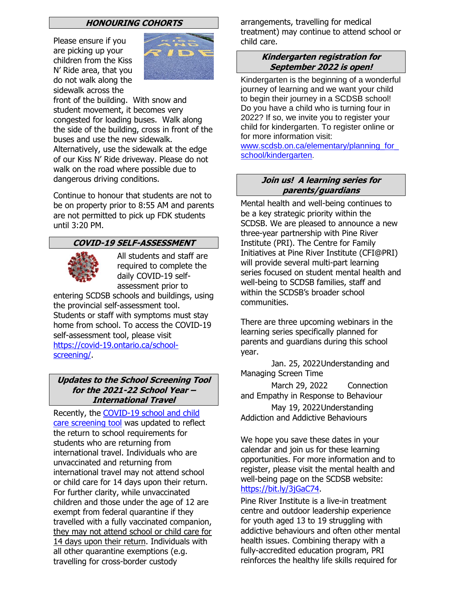#### **HONOURING COHORTS**

Please ensure if you are picking up your children from the Kiss N' Ride area, that you do not walk along the sidewalk across the



Unknown Author is front of the building. With snow and student movement, it bec[omes v](https://creativecommons.org/licenses/by-sa/3.0/)ery congested for loading buses. Walk along the side of the building, cross in front of the buses and use the new sidewalk. Alternatively, use the sidewalk at the edge of our Kiss N' Ride driveway. Please do not walk on the road where possible due to dangerous driving conditions.

Continue to honour that students are not to be on property prior to 8:55 AM and parents are not permitted to pick up FDK students until 3:20 PM.

## **COVID-19 SELF-ASSESSMENT**



All students and staff are required to complete the daily COVID-19 selfassessment prior to

entering SCDSB schools and buildings, using the provincial self-assessment tool. Students or staff with symptoms must stay home from school. To access the COVID-19 self-assessment tool, please visit [https://covid-19.ontario.ca/school](https://covid-19.ontario.ca/school-screening/)[screening/.](https://covid-19.ontario.ca/school-screening/)

## **Updates to the School Screening Tool for the 2021-22 School Year – International Travel**

Recently, the [COVID-19 school and child](https://can01.safelinks.protection.outlook.com/?url=https%3A%2F%2Fcovid-19.ontario.ca%2Fschool-screening%2F&data=04%7C01%7Cafarrell%40scdsb.on.ca%7Cf7af1515da514fb5da6808d99a358863%7C573d7e64d5434fd8b3da0c64adc4eb35%7C1%7C0%7C637710376967295545%7CUnknown%7CTWFpbGZsb3d8eyJWIjoiMC4wLjAwMDAiLCJQIjoiV2luMzIiLCJBTiI6Ik1haWwiLCJXVCI6Mn0%3D%7C1000&sdata=0%2Fcpi7wGQBdSYOhcYDF4Kq%2FUsjD4Cn4Ie%2BSKwOc826E%3D&reserved=0)  [care screening tool](https://can01.safelinks.protection.outlook.com/?url=https%3A%2F%2Fcovid-19.ontario.ca%2Fschool-screening%2F&data=04%7C01%7Cafarrell%40scdsb.on.ca%7Cf7af1515da514fb5da6808d99a358863%7C573d7e64d5434fd8b3da0c64adc4eb35%7C1%7C0%7C637710376967295545%7CUnknown%7CTWFpbGZsb3d8eyJWIjoiMC4wLjAwMDAiLCJQIjoiV2luMzIiLCJBTiI6Ik1haWwiLCJXVCI6Mn0%3D%7C1000&sdata=0%2Fcpi7wGQBdSYOhcYDF4Kq%2FUsjD4Cn4Ie%2BSKwOc826E%3D&reserved=0) was updated to reflect the return to school requirements for students who are returning from international travel. Individuals who are unvaccinated and returning from international travel may not attend school or child care for 14 days upon their return. For further clarity, while unvaccinated children and those under the age of 12 are exempt from federal quarantine if they travelled with a fully vaccinated companion, they may not attend school or child care for 14 days upon their return. Individuals with all other quarantine exemptions (e.g. travelling for cross-border custody

arrangements, travelling for medical treatment) may continue to attend school or child care.

#### **Kindergarten registration for September 2022 is open!**

Kindergarten is the beginning of a wonderful journey of learning and we want your child to begin their journey in a SCDSB school! Do you have a child who is turning four in 2022? If so, we invite you to register your child for kindergarten. To register online or for more information visit[:](http://www.scdsb.on.ca/elementary/planning_for_school/kindergarten)

www.scdsb.on.ca/elementary/planning\_for [school/kindergarten](http://www.scdsb.on.ca/elementary/planning_for_school/kindergarten).

## **Join us! A learning series for parents/guardians**

Mental health and well-being continues to be a key strategic priority within the SCDSB. We are pleased to announce a new three-year partnership with Pine River Institute (PRI). The Centre for Family Initiatives at Pine River Institute (CFI@PRI) will provide several multi-part learning series focused on student mental health and well-being to SCDSB families, staff and within the SCDSB's broader school communities.

There are three upcoming webinars in the learning series specifically planned for parents and guardians during this school year.

 Jan. 25, 2022Understanding and Managing Screen Time

March 29, 2022 Connection and Empathy in Response to Behaviour May 19, 2022Understanding Addiction and Addictive Behaviours

We hope you save these dates in your calendar and join us for these learning opportunities. For more information and to register, please visit the mental health and well-being page on the SCDSB website: [https://bit.ly/3jGaC74.](https://can01.safelinks.protection.outlook.com/?url=https%3A%2F%2Fbit.ly%2F3jGaC74&data=04%7C01%7Cafarrell%40scdsb.on.ca%7Cec4ecedd6fe14e8d9f3708d999468884%7C573d7e64d5434fd8b3da0c64adc4eb35%7C1%7C0%7C637709350472482142%7CUnknown%7CTWFpbGZsb3d8eyJWIjoiMC4wLjAwMDAiLCJQIjoiV2luMzIiLCJBTiI6Ik1haWwiLCJXVCI6Mn0%3D%7C1000&sdata=gRQeln4fMgkvZPyGjrguRKa5cqk6yDqM%2B67RPLY4MMU%3D&reserved=0)

Pine River Institute is a live-in treatment centre and outdoor leadership experience for youth aged 13 to 19 struggling with addictive behaviours and often other mental health issues. Combining therapy with a fully-accredited education program, PRI reinforces the healthy life skills required for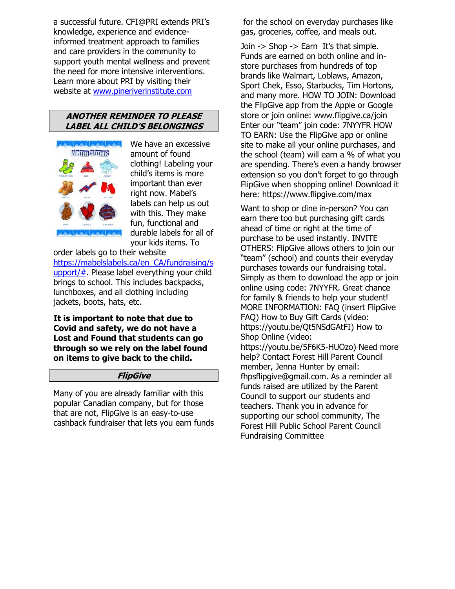a successful future. CFI@PRI extends PRI's knowledge, experience and evidenceinformed treatment approach to families and care providers in the community to support youth mental wellness and prevent the need for more intensive interventions. Learn more about PRI by visiting their website at [www.pineriverinstitute.com](http://www.pineriverinstitute.com/)

#### **ANOTHER REMINDER TO PLEASE LABEL ALL CHILD'S BELONGINGS**



We have an excessive amount of found clothing! Labeling your child's items is more important than ever right now. Mabel's labels can help us out with this. They make fun, functional and durable labels for all of your kids items. To

order labels go to their website [https://mabelslabels.ca/en\\_CA/fundraising/s](https://mabelslabels.ca/en_CA/fundraising/support/) [upport/#.](https://mabelslabels.ca/en_CA/fundraising/support/) Please label everything your child brings to school. This includes backpacks, lunchboxes, and all clothing including jackets, boots, hats, etc.

**It is important to note that due to Covid and safety, we do not have a Lost and Found that students can go through so we rely on the label found on items to give back to the child.**

## **FlipGive**

Many of you are already familiar with this popular Canadian company, but for those that are not, FlipGive is an easy-to-use cashback fundraiser that lets you earn funds

for the school on everyday purchases like gas, groceries, coffee, and meals out.

Join -> Shop -> Earn It's that simple. Funds are earned on both online and instore purchases from hundreds of top brands like Walmart, Loblaws, Amazon, Sport Chek, Esso, Starbucks, Tim Hortons, and many more. HOW TO JOIN: Download the FlipGive app from the Apple or Google store or join online: www.flipgive.ca/join Enter our "team" join code: 7NYYFR HOW TO EARN: Use the FlipGive app or online site to make all your online purchases, and the school (team) will earn a % of what you are spending. There's even a handy browser extension so you don't forget to go through FlipGive when shopping online! Download it here: https://www.flipgive.com/max

Want to shop or dine in-person? You can earn there too but purchasing gift cards ahead of time or right at the time of purchase to be used instantly. INVITE OTHERS: FlipGive allows others to join our "team" (school) and counts their everyday purchases towards our fundraising total. Simply as them to download the app or join online using code: 7NYYFR. Great chance for family & friends to help your student! MORE INFORMATION: FAQ (insert FlipGive FAQ) How to Buy Gift Cards (video: https://youtu.be/Qt5NSdGAtFI) How to Shop Online (video:

https://youtu.be/5F6K5-HUOzo) Need more help? Contact Forest Hill Parent Council member, Jenna Hunter by email: fhpsflipgive@gmail.com. As a reminder all funds raised are utilized by the Parent Council to support our students and teachers. Thank you in advance for supporting our school community, The Forest Hill Public School Parent Council Fundraising Committee